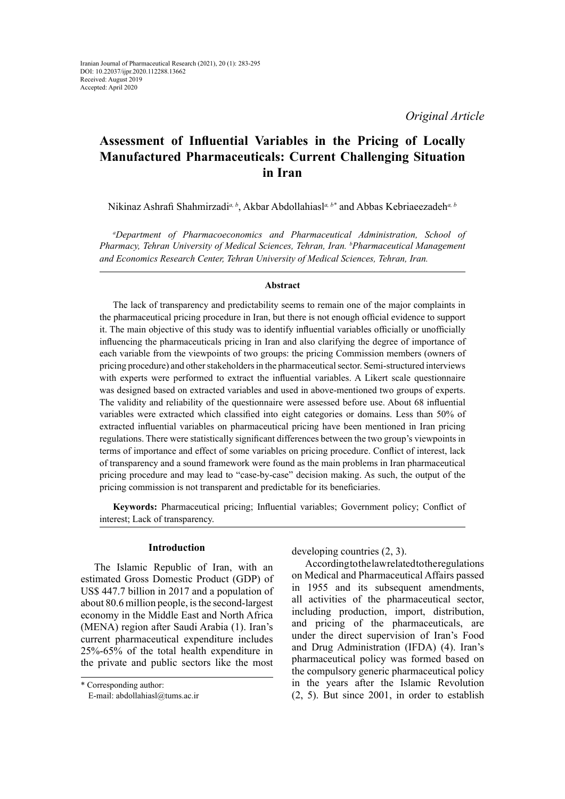# **Assessment of Influential Variables in the Pricing of Locally Manufactured Pharmaceuticals: Current Challenging Situation in Iran**

Nikinaz Ashrafi Shahmirzadi*a, b*, Akbar Abdollahiasl*a, b\** and Abbas Kebriaeezadeh*a, b*

*a Department of Pharmacoeconomics and Pharmaceutical Administration, School of Pharmacy, Tehran University of Medical Sciences, Tehran, Iran. b Pharmaceutical Management and Economics Research Center, Tehran University of Medical Sciences, Tehran, Iran.*

## **Abstract**

The lack of transparency and predictability seems to remain one of the major complaints in the pharmaceutical pricing procedure in Iran, but there is not enough official evidence to support it. The main objective of this study was to identify influential variables officially or unofficially influencing the pharmaceuticals pricing in Iran and also clarifying the degree of importance of each variable from the viewpoints of two groups: the pricing Commission members (owners of pricing procedure) and other stakeholders in the pharmaceutical sector. Semi-structured interviews with experts were performed to extract the influential variables. A Likert scale questionnaire was designed based on extracted variables and used in above-mentioned two groups of experts. The validity and reliability of the questionnaire were assessed before use. About 68 influential variables were extracted which classified into eight categories or domains. Less than 50% of extracted influential variables on pharmaceutical pricing have been mentioned in Iran pricing regulations. There were statistically significant differences between the two group's viewpoints in terms of importance and effect of some variables on pricing procedure. Conflict of interest, lack of transparency and a sound framework were found as the main problems in Iran pharmaceutical pricing procedure and may lead to "case-by-case" decision making. As such, the output of the pricing commission is not transparent and predictable for its beneficiaries.

**Keywords:** Pharmaceutical pricing; Influential variables; Government policy; Conflict of interest; Lack of transparency.

## **Introduction**

The Islamic Republic of Iran, with an estimated Gross Domestic Product (GDP) of US\$ 447.7 billion in 2017 and a population of about 80.6 million people, is the second-largest economy in the Middle East and North Africa (MENA) region after Saudi Arabia (1). Iran's current pharmaceutical expenditure includes 25%-65% of the total health expenditure in the private and public sectors like the most

developing countries (2, 3).

According to the law related to the regulations on Medical and Pharmaceutical Affairs passed in 1955 and its subsequent amendments, all activities of the pharmaceutical sector, including production, import, distribution, and pricing of the pharmaceuticals, are under the direct supervision of Iran's Food and Drug Administration (IFDA) (4). Iran's pharmaceutical policy was formed based on the compulsory generic pharmaceutical policy in the years after the Islamic Revolution (2, 5). But since 2001, in order to establish

<sup>\*</sup> Corresponding author:

E-mail: abdollahiasl@tums.ac.ir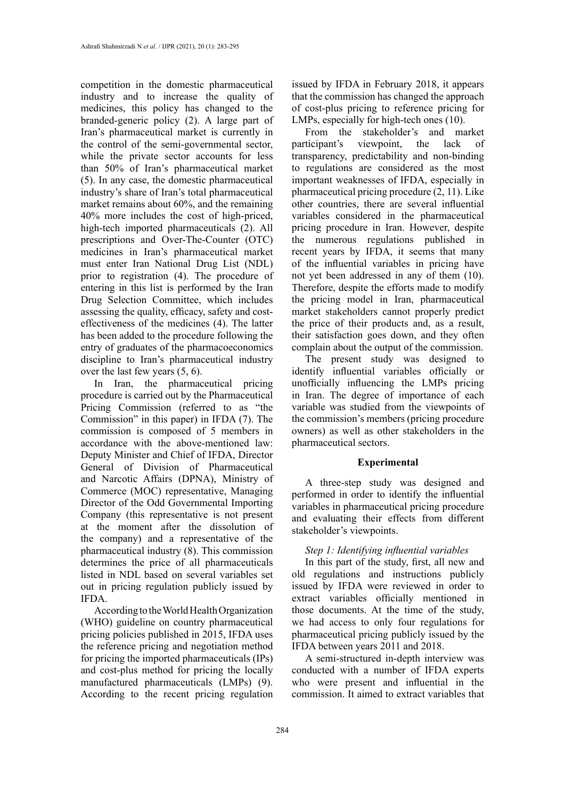competition in the domestic pharmaceutical industry and to increase the quality of medicines, this policy has changed to the branded-generic policy (2). A large part of Iran's pharmaceutical market is currently in the control of the semi-governmental sector, while the private sector accounts for less than 50% of Iran's pharmaceutical market (5). In any case, the domestic pharmaceutical industry's share of Iran's total pharmaceutical market remains about 60%, and the remaining 40% more includes the cost of high-priced, high-tech imported pharmaceuticals (2). All prescriptions and Over-The-Counter (OTC) medicines in Iran's pharmaceutical market must enter Iran National Drug List (NDL) prior to registration (4). The procedure of entering in this list is performed by the Iran Drug Selection Committee, which includes assessing the quality, efficacy, safety and costeffectiveness of the medicines (4). The latter has been added to the procedure following the entry of graduates of the pharmacoeconomics discipline to Iran's pharmaceutical industry over the last few years (5, 6).

In Iran, the pharmaceutical pricing procedure is carried out by the Pharmaceutical Pricing Commission (referred to as "the Commission" in this paper) in IFDA (7). The commission is composed of 5 members in accordance with the above-mentioned law: Deputy Minister and Chief of IFDA, Director General of Division of Pharmaceutical and Narcotic Affairs (DPNA), Ministry of Commerce (MOC) representative, Managing Director of the Odd Governmental Importing Company (this representative is not present at the moment after the dissolution of the company) and a representative of the pharmaceutical industry (8). This commission determines the price of all pharmaceuticals listed in NDL based on several variables set out in pricing regulation publicly issued by IFDA.

According to the World Health Organization (WHO) guideline on country pharmaceutical pricing policies published in 2015, IFDA uses the reference pricing and negotiation method for pricing the imported pharmaceuticals (IPs) and cost-plus method for pricing the locally manufactured pharmaceuticals (LMPs) (9). According to the recent pricing regulation

issued by IFDA in February 2018, it appears that the commission has changed the approach of cost-plus pricing to reference pricing for LMPs, especially for high-tech ones (10).

From the stakeholder's and market<br>ticipant's viewpoint, the lack of participant's viewpoint the lack of transparency, predictability and non-binding to regulations are considered as the most important weaknesses of IFDA, especially in pharmaceutical pricing procedure (2, 11). Like other countries, there are several influential variables considered in the pharmaceutical pricing procedure in Iran. However, despite the numerous regulations published in recent years by IFDA, it seems that many of the influential variables in pricing have not yet been addressed in any of them (10). Therefore, despite the efforts made to modify the pricing model in Iran, pharmaceutical market stakeholders cannot properly predict the price of their products and, as a result, their satisfaction goes down, and they often complain about the output of the commission.

The present study was designed to identify influential variables officially or unofficially influencing the LMPs pricing in Iran. The degree of importance of each variable was studied from the viewpoints of the commission's members (pricing procedure owners) as well as other stakeholders in the pharmaceutical sectors.

## **Experimental**

A three-step study was designed and performed in order to identify the influential variables in pharmaceutical pricing procedure and evaluating their effects from different stakeholder's viewpoints.

### *Step 1: Identifying influential variables*

In this part of the study, first, all new and old regulations and instructions publicly issued by IFDA were reviewed in order to extract variables officially mentioned in those documents. At the time of the study, we had access to only four regulations for pharmaceutical pricing publicly issued by the IFDA between years 2011 and 2018.

A semi-structured in-depth interview was conducted with a number of IFDA experts who were present and influential in the commission. It aimed to extract variables that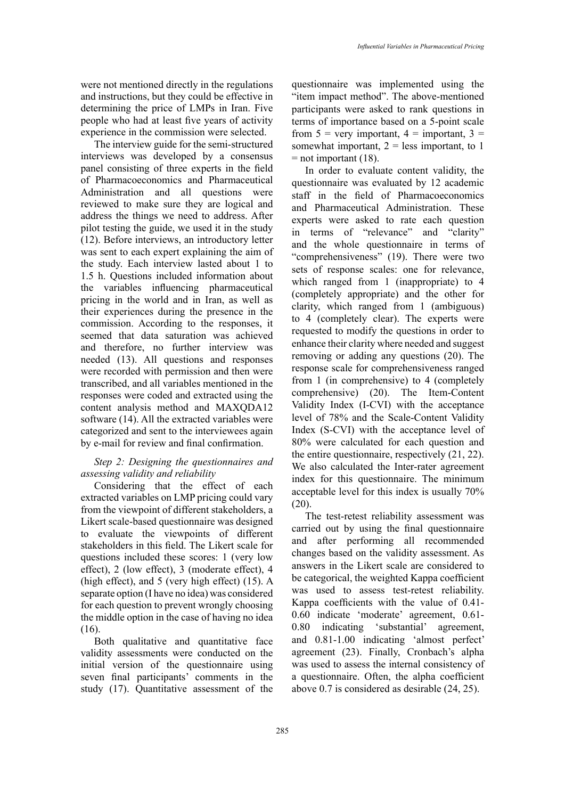were not mentioned directly in the regulations and instructions, but they could be effective in determining the price of LMPs in Iran. Five people who had at least five years of activity experience in the commission were selected.

The interview guide for the semi-structured interviews was developed by a consensus panel consisting of three experts in the field of Pharmacoeconomics and Pharmaceutical Administration and all questions were reviewed to make sure they are logical and address the things we need to address. After pilot testing the guide, we used it in the study (12). Before interviews, an introductory letter was sent to each expert explaining the aim of the study. Each interview lasted about 1 to 1.5 h. Questions included information about the variables influencing pharmaceutical pricing in the world and in Iran, as well as their experiences during the presence in the commission. According to the responses, it seemed that data saturation was achieved and therefore, no further interview was needed (13). All questions and responses were recorded with permission and then were transcribed, and all variables mentioned in the responses were coded and extracted using the content analysis method and MAXQDA12 software (14). All the extracted variables were categorized and sent to the interviewees again by e-mail for review and final confirmation.

## *Step 2: Designing the questionnaires and assessing validity and reliability*

Considering that the effect of each extracted variables on LMP pricing could vary from the viewpoint of different stakeholders, a Likert scale-based questionnaire was designed to evaluate the viewpoints of different stakeholders in this field. The Likert scale for questions included these scores: 1 (very low effect), 2 (low effect), 3 (moderate effect), 4 (high effect), and 5 (very high effect) (15). A separate option (I have no idea) was considered for each question to prevent wrongly choosing the middle option in the case of having no idea (16).

Both qualitative and quantitative face validity assessments were conducted on the initial version of the questionnaire using seven final participants' comments in the study (17). Quantitative assessment of the

questionnaire was implemented using the "item impact method". The above-mentioned participants were asked to rank questions in terms of importance based on a 5-point scale from  $5 =$  very important,  $4 =$  important,  $3 =$ somewhat important,  $2 =$  less important, to 1  $=$  not important (18).

In order to evaluate content validity, the questionnaire was evaluated by 12 academic staff in the field of Pharmacoeconomics and Pharmaceutical Administration. These experts were asked to rate each question in terms of "relevance" and "clarity" and the whole questionnaire in terms of "comprehensiveness" (19). There were two sets of response scales: one for relevance, which ranged from 1 (inappropriate) to 4 (completely appropriate) and the other for clarity, which ranged from 1 (ambiguous) to 4 (completely clear). The experts were requested to modify the questions in order to enhance their clarity where needed and suggest removing or adding any questions (20). The response scale for comprehensiveness ranged from 1 (in comprehensive) to 4 (completely comprehensive) (20). The Item-Content Validity Index (I-CVI) with the acceptance level of 78% and the Scale-Content Validity Index (S-CVI) with the acceptance level of 80% were calculated for each question and the entire questionnaire, respectively (21, 22). We also calculated the Inter-rater agreement index for this questionnaire. The minimum acceptable level for this index is usually 70% (20).

The test-retest reliability assessment was carried out by using the final questionnaire and after performing all recommended changes based on the validity assessment. As answers in the Likert scale are considered to be categorical, the weighted Kappa coefficient was used to assess test-retest reliability. Kappa coefficients with the value of 0.41- 0.60 indicate 'moderate' agreement, 0.61- 0.80 indicating 'substantial' agreement, and 0.81-1.00 indicating 'almost perfect' agreement (23). Finally, Cronbach's alpha was used to assess the internal consistency of a questionnaire. Often, the alpha coefficient above 0.7 is considered as desirable (24, 25).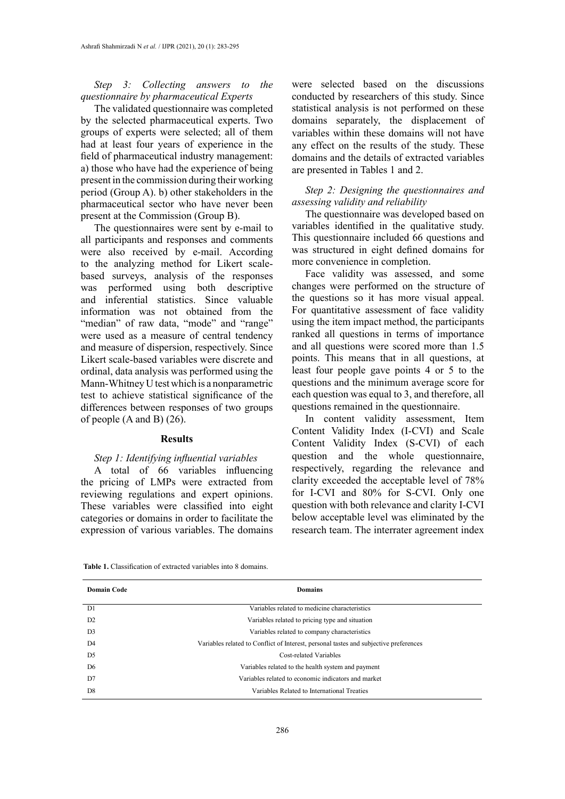## *Step 3: Collecting answers to the questionnaire by pharmaceutical Experts*

The validated questionnaire was completed by the selected pharmaceutical experts. Two groups of experts were selected; all of them had at least four years of experience in the field of pharmaceutical industry management: a) those who have had the experience of being present in the commission during their working period (Group A). b) other stakeholders in the pharmaceutical sector who have never been present at the Commission (Group B).

The questionnaires were sent by e-mail to all participants and responses and comments were also received by e-mail. According to the analyzing method for Likert scalebased surveys, analysis of the responses was performed using both descriptive and inferential statistics. Since valuable information was not obtained from the "median" of raw data, "mode" and "range" were used as a measure of central tendency and measure of dispersion, respectively. Since Likert scale-based variables were discrete and ordinal, data analysis was performed using the Mann-Whitney U test which is a nonparametric test to achieve statistical significance of the differences between responses of two groups of people (A and B) (26).

#### **Results**

#### *Step 1: Identifying influential variables*

A total of 66 variables influencing the pricing of LMPs were extracted from reviewing regulations and expert opinions. These variables were classified into eight categories or domains in order to facilitate the expression of various variables. The domains

were selected based on the discussions conducted by researchers of this study. Since statistical analysis is not performed on these domains separately, the displacement of variables within these domains will not have any effect on the results of the study. These domains and the details of extracted variables are presented in Tables 1 and 2.

*Step 2: Designing the questionnaires and assessing validity and reliability*

The questionnaire was developed based on variables identified in the qualitative study. This questionnaire included 66 questions and was structured in eight defined domains for more convenience in completion.

Face validity was assessed, and some changes were performed on the structure of the questions so it has more visual appeal. For quantitative assessment of face validity using the item impact method, the participants ranked all questions in terms of importance and all questions were scored more than 1.5 points. This means that in all questions, at least four people gave points 4 or 5 to the questions and the minimum average score for each question was equal to 3, and therefore, all questions remained in the questionnaire.

In content validity assessment, Item Content Validity Index (I-CVI) and Scale Content Validity Index (S-CVI) of each question and the whole questionnaire, respectively, regarding the relevance and clarity exceeded the acceptable level of 78% for I-CVI and 80% for S-CVI. Only one question with both relevance and clarity I-CVI below acceptable level was eliminated by the research team. The interrater agreement index

| <b>Table 1.</b> Classification of extracted variables into 8 domains. |  |  |  |
|-----------------------------------------------------------------------|--|--|--|
|-----------------------------------------------------------------------|--|--|--|

| <b>Domain Code</b> | <b>Domains</b>                                                                        |
|--------------------|---------------------------------------------------------------------------------------|
| D1                 | Variables related to medicine characteristics                                         |
| D <sub>2</sub>     | Variables related to pricing type and situation                                       |
| D <sub>3</sub>     | Variables related to company characteristics                                          |
| D4                 | Variables related to Conflict of Interest, personal tastes and subjective preferences |
| D <sub>5</sub>     | Cost-related Variables                                                                |
| D <sub>6</sub>     | Variables related to the health system and payment                                    |
| D7                 | Variables related to economic indicators and market                                   |
| D <sub>8</sub>     | Variables Related to International Treaties                                           |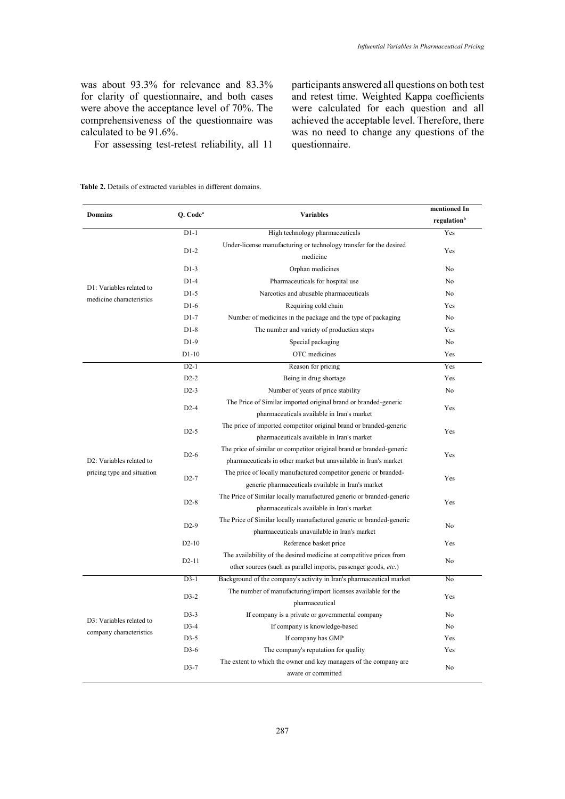was about 93.3% for relevance and 83.3% for clarity of questionnaire, and both cases were above the acceptance level of 70%. The comprehensiveness of the questionnaire was calculated to be 91.6%.

For assessing test-retest reliability, all 11

participants answered all questions on both test and retest time. Weighted Kappa coefficients were calculated for each question and all achieved the acceptable level. Therefore, there was no need to change any questions of the questionnaire.

**Table 2.** Details of extracted variables in different domains.

| <b>Domains</b>                                       | Q. Code <sup>a</sup><br><b>Variables</b> |                                                                      | mentioned In<br>regulation <sup>b</sup> |  |
|------------------------------------------------------|------------------------------------------|----------------------------------------------------------------------|-----------------------------------------|--|
|                                                      | $D1-1$                                   | High technology pharmaceuticals                                      | Yes                                     |  |
|                                                      |                                          | Under-license manufacturing or technology transfer for the desired   |                                         |  |
|                                                      | $D1-2$                                   | medicine                                                             | Yes                                     |  |
|                                                      | $D1-3$                                   | Orphan medicines                                                     | N <sub>0</sub>                          |  |
| D1: Variables related to<br>medicine characteristics | $D1-4$                                   | Pharmaceuticals for hospital use                                     | N <sub>0</sub>                          |  |
|                                                      | $D1-5$                                   | Narcotics and abusable pharmaceuticals                               | No                                      |  |
|                                                      | $D1-6$                                   | Requiring cold chain                                                 | Yes                                     |  |
|                                                      | $D1-7$                                   | Number of medicines in the package and the type of packaging         | No                                      |  |
|                                                      | $D1-8$                                   |                                                                      | Yes                                     |  |
|                                                      |                                          | The number and variety of production steps                           |                                         |  |
|                                                      | $D1-9$                                   | Special packaging                                                    | N <sub>0</sub>                          |  |
|                                                      | D <sub>1</sub> -10                       | OTC medicines                                                        | Yes                                     |  |
|                                                      | $D2-1$                                   | Reason for pricing                                                   | Yes                                     |  |
|                                                      | $D2-2$                                   | Being in drug shortage                                               | Yes                                     |  |
|                                                      | $D2-3$                                   | Number of years of price stability                                   | No                                      |  |
|                                                      | $D2-4$                                   | The Price of Similar imported original brand or branded-generic      | Yes                                     |  |
|                                                      |                                          | pharmaceuticals available in Iran's market                           |                                         |  |
|                                                      | $D2-5$                                   | The price of imported competitor original brand or branded-generic   | Yes                                     |  |
|                                                      |                                          | pharmaceuticals available in Iran's market                           |                                         |  |
|                                                      | $D2-6$<br>$D2-7$                         | The price of similar or competitor original brand or branded-generic | Yes<br>Yes                              |  |
| D <sub>2</sub> : Variables related to                |                                          | pharmaceuticals in other market but unavailable in Iran's market     |                                         |  |
| pricing type and situation                           |                                          | The price of locally manufactured competitor generic or branded-     |                                         |  |
|                                                      |                                          | generic pharmaceuticals available in Iran's market                   |                                         |  |
|                                                      | $D2-8$                                   | The Price of Similar locally manufactured generic or branded-generic | Yes                                     |  |
|                                                      |                                          | pharmaceuticals available in Iran's market                           |                                         |  |
|                                                      | $D2-9$                                   | The Price of Similar locally manufactured generic or branded-generic | No                                      |  |
|                                                      |                                          | pharmaceuticals unavailable in Iran's market                         | Yes                                     |  |
|                                                      |                                          | $D2-10$<br>Reference basket price                                    |                                         |  |
|                                                      | $D2-11$                                  | The availability of the desired medicine at competitive prices from  | No                                      |  |
|                                                      |                                          | other sources (such as parallel imports, passenger goods, etc.)      |                                         |  |
|                                                      | $D3-1$                                   | Background of the company's activity in Iran's pharmaceutical market | No                                      |  |
|                                                      | $D3-2$                                   | The number of manufacturing/import licenses available for the        | Yes                                     |  |
|                                                      |                                          | pharmaceutical                                                       |                                         |  |
| D3: Variables related to                             | $D3-3$                                   | If company is a private or governmental company                      | No                                      |  |
| company characteristics                              | $D3-4$                                   | If company is knowledge-based                                        | No                                      |  |
|                                                      | $D3-5$                                   | If company has GMP                                                   | <b>Yes</b>                              |  |
|                                                      | $D3-6$                                   | The company's reputation for quality                                 | Yes                                     |  |
|                                                      | $D3-7$                                   | The extent to which the owner and key managers of the company are    | No                                      |  |
|                                                      |                                          | aware or committed                                                   |                                         |  |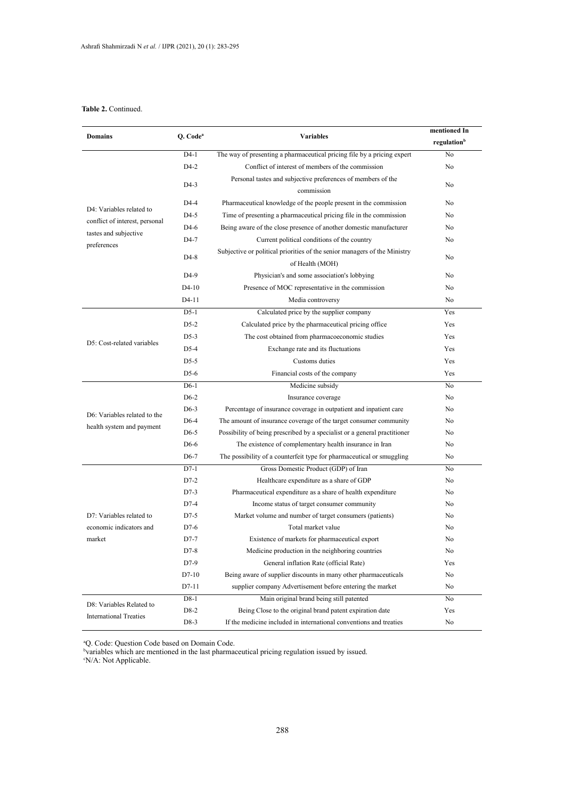## **Table 2.** Continued.

| <b>Domains</b>                 | Q. Code <sup>a</sup><br><b>Variables</b> |                                                                                              | mentioned In            |
|--------------------------------|------------------------------------------|----------------------------------------------------------------------------------------------|-------------------------|
|                                |                                          |                                                                                              | regulation <sup>b</sup> |
|                                | $D4-1$                                   | The way of presenting a pharmaceutical pricing file by a pricing expert                      | No                      |
|                                | $D4-2$                                   | Conflict of interest of members of the commission                                            | No                      |
|                                | $D4-3$                                   | Personal tastes and subjective preferences of members of the<br>commission                   | No                      |
|                                | $D4-4$                                   | Pharmaceutical knowledge of the people present in the commission                             | No                      |
| D4: Variables related to       | $D4-5$                                   | Time of presenting a pharmaceutical pricing file in the commission                           | No                      |
| conflict of interest, personal | $D4-6$                                   | Being aware of the close presence of another domestic manufacturer                           | No                      |
| tastes and subjective          | D4-7                                     | Current political conditions of the country                                                  | No                      |
| preferences                    | $D4-8$                                   | Subjective or political priorities of the senior managers of the Ministry<br>of Health (MOH) | No                      |
|                                | D <sub>4</sub> -9                        | Physician's and some association's lobbying                                                  | No                      |
|                                | $D4-10$                                  | Presence of MOC representative in the commission                                             | No                      |
|                                | D <sub>4</sub> -11                       | Media controversy                                                                            | No                      |
|                                | $D5-1$                                   | Calculated price by the supplier company                                                     | Yes                     |
|                                | $D5-2$                                   | Calculated price by the pharmaceutical pricing office                                        | Yes                     |
|                                | $D5-3$                                   | The cost obtained from pharmacoeconomic studies                                              | Yes                     |
| D5: Cost-related variables     | $D5-4$                                   | Exchange rate and its fluctuations                                                           | Yes                     |
|                                | $D5-5$                                   | Customs duties                                                                               | Yes                     |
|                                | $D5-6$                                   | Financial costs of the company                                                               | Yes                     |
|                                | $D6-1$                                   | Medicine subsidy                                                                             | No                      |
|                                | $D6-2$                                   | Insurance coverage                                                                           | No                      |
|                                | $D6-3$                                   | Percentage of insurance coverage in outpatient and inpatient care                            | No                      |
| D6: Variables related to the   | $D6-4$                                   | The amount of insurance coverage of the target consumer community                            | No                      |
| health system and payment      | $D6-5$                                   | Possibility of being prescribed by a specialist or a general practitioner                    | No                      |
|                                | D6-6                                     | The existence of complementary health insurance in Iran                                      | No                      |
|                                | D <sub>6</sub> -7                        | The possibility of a counterfeit type for pharmaceutical or smuggling                        | No                      |
|                                | $D7-1$                                   | Gross Domestic Product (GDP) of Iran                                                         | No                      |
|                                | $D7-2$                                   | Healthcare expenditure as a share of GDP                                                     | No                      |
|                                | $D7-3$                                   | Pharmaceutical expenditure as a share of health expenditure                                  | No                      |
|                                | $D7-4$                                   | Income status of target consumer community                                                   | No                      |
| D7: Variables related to       | $D7-5$                                   | Market volume and number of target consumers (patients)                                      | No                      |
| economic indicators and        | $D7-6$                                   | Total market value                                                                           | No                      |
| market                         | $D7-7$                                   | Existence of markets for pharmaceutical export                                               | No                      |
|                                | D7-8                                     | Medicine production in the neighboring countries                                             | No                      |
|                                | D7-9                                     | General inflation Rate (official Rate)                                                       | Yes                     |
|                                | D7-10                                    | Being aware of supplier discounts in many other pharmaceuticals                              | No                      |
|                                | D7-11                                    | supplier company Advertisement before entering the market                                    | No                      |
|                                | D8-1                                     | Main original brand being still patented                                                     | No                      |
| D8: Variables Related to       | D8-2                                     | Being Close to the original brand patent expiration date                                     | Yes                     |
| <b>International Treaties</b>  | D8-3                                     | If the medicine included in international conventions and treaties                           | No                      |

<sup>b</sup>variables which are mentioned in the last ph a Q. Code: Question Code based on Domain Code. b variables which are mentioned in the last pharmaceutical pricing regulation issued by issued. c N/A: Not Applicable.

byzr. bot approache.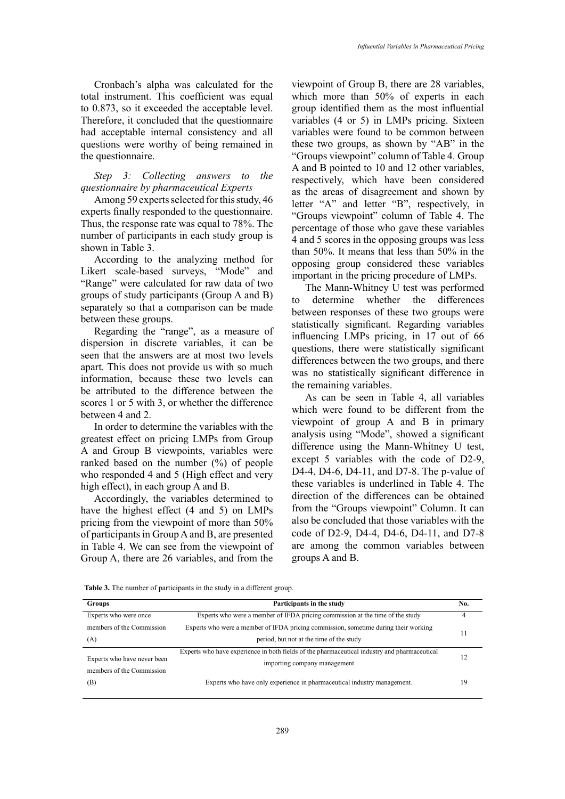Cronbach's alpha was calculated for the total instrument. This coefficient was equal to 0.873, so it exceeded the acceptable level. Therefore, it concluded that the questionnaire had acceptable internal consistency and all questions were worthy of being remained in the questionnaire.

# *Step 3: Collecting answers to the questionnaire by pharmaceutical Experts*

Among 59 experts selected for this study, 46 experts finally responded to the questionnaire. Thus, the response rate was equal to 78%. The number of participants in each study group is shown in Table 3.

According to the analyzing method for Likert scale-based surveys, "Mode" and "Range" were calculated for raw data of two groups of study participants (Group A and B) separately so that a comparison can be made between these groups.

Regarding the "range", as a measure of dispersion in discrete variables, it can be seen that the answers are at most two levels apart. This does not provide us with so much information, because these two levels can be attributed to the difference between the scores 1 or 5 with 3, or whether the difference between 4 and 2.

In order to determine the variables with the greatest effect on pricing LMPs from Group A and Group B viewpoints, variables were ranked based on the number (%) of people who responded 4 and 5 (High effect and very high effect), in each group A and B.

Accordingly, the variables determined to have the highest effect (4 and 5) on LMPs pricing from the viewpoint of more than 50% of participants in Group A and B, are presented in Table 4. We can see from the viewpoint of Group A, there are 26 variables, and from the groups A and B.

viewpoint of Group B, there are 28 variables, which more than 50% of experts in each group identified them as the most influential variables (4 or 5) in LMPs pricing. Sixteen variables were found to be common between these two groups, as shown by "AB" in the "Groups viewpoint" column of Table 4. Group A and B pointed to 10 and 12 other variables, respectively, which have been considered as the areas of disagreement and shown by letter "A" and letter "B", respectively, in "Groups viewpoint" column of Table 4. The percentage of those who gave these variables 4 and 5 scores in the opposing groups was less than 50%. It means that less than 50% in the opposing group considered these variables important in the pricing procedure of LMPs.

The Mann-Whitney U test was performed to determine whether the differences between responses of these two groups were statistically significant. Regarding variables influencing LMPs pricing, in 17 out of 66 questions, there were statistically significant differences between the two groups, and there was no statistically significant difference in the remaining variables.

As can be seen in Table 4, all variables which were found to be different from the viewpoint of group A and B in primary analysis using "Mode", showed a significant difference using the Mann-Whitney U test, except 5 variables with the code of D2-9, D4-4, D4-6, D4-11, and D7-8. The p-value of these variables is underlined in Table 4. The direction of the differences can be obtained from the "Groups viewpoint" Column. It can also be concluded that those variables with the code of D2-9, D4-4, D4-6, D4-11, and D7-8 are among the common variables between

| <b>Table 3.</b> The number of participants in the study in a different group. |  |  |
|-------------------------------------------------------------------------------|--|--|
|                                                                               |  |  |

| <b>Groups</b>               | Participants in the study                                                                    | No. |
|-----------------------------|----------------------------------------------------------------------------------------------|-----|
| Experts who were once       | Experts who were a member of IFDA pricing commission at the time of the study                |     |
| members of the Commission   | Experts who were a member of IFDA pricing commission, sometime during their working          | 11  |
| (A)                         | period, but not at the time of the study                                                     |     |
|                             | Experts who have experience in both fields of the pharmaceutical industry and pharmaceutical |     |
| Experts who have never been | importing company management                                                                 |     |
| members of the Commission   |                                                                                              |     |
| (B)                         | Experts who have only experience in pharmaceutical industry management.                      | 19  |
|                             |                                                                                              |     |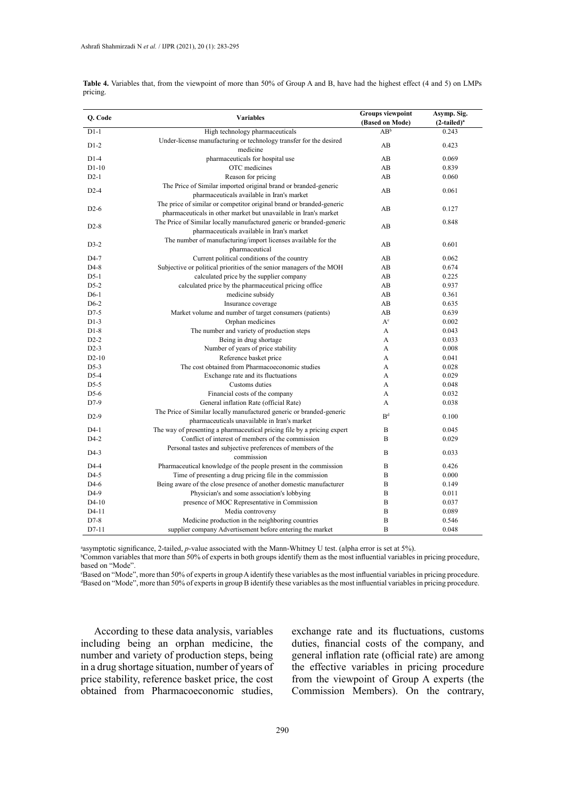| <b>Variables</b> |                                                                         | Groups viewpoint | Asymp. Sig.    |
|------------------|-------------------------------------------------------------------------|------------------|----------------|
| Q. Code          |                                                                         | (Based on Mode)  | $(2-tailed)^a$ |
| $D1-1$           | High technology pharmaceuticals                                         | $AB^b$           | 0.243          |
| $D1-2$           | Under-license manufacturing or technology transfer for the desired      | AB               | 0.423          |
|                  | medicine                                                                |                  |                |
| $D1-4$           | pharmaceuticals for hospital use                                        | AB               | 0.069          |
| $D1-10$          | OTC medicines                                                           | AB               | 0.839          |
| $D2-1$           | Reason for pricing                                                      | AB               | 0.060          |
| $D2-4$           | The Price of Similar imported original brand or branded-generic         | AB               | 0.061          |
|                  | pharmaceuticals available in Iran's market                              |                  |                |
| $D2-6$           | The price of similar or competitor original brand or branded-generic    | AB               | 0.127          |
|                  | pharmaceuticals in other market but unavailable in Iran's market        |                  |                |
| $D2-8$           | The Price of Similar locally manufactured generic or branded-generic    | AB               | 0.848          |
|                  | pharmaceuticals available in Iran's market                              |                  |                |
| $D3-2$           | The number of manufacturing/import licenses available for the           | AB               | 0.601          |
|                  | pharmaceutical                                                          |                  |                |
| D4-7             | Current political conditions of the country                             | AB               | 0.062          |
| D4-8             | Subjective or political priorities of the senior managers of the MOH    | AB               | 0.674          |
| $D5-1$           | calculated price by the supplier company                                | AB               | 0.225          |
| $D5-2$           | calculated price by the pharmaceutical pricing office                   | AB               | 0.937          |
| $D6-1$           | medicine subsidy                                                        | AB               | 0.361          |
| $D6-2$           | Insurance coverage                                                      | AB               | 0.635          |
| D7-5             | Market volume and number of target consumers (patients)                 | AB               | 0.639          |
| $D1-3$           | Orphan medicines                                                        | $A^c$            | 0.002          |
| $D1-8$           | The number and variety of production steps                              | A                | 0.043          |
| $D2-2$           | Being in drug shortage                                                  | A                | 0.033          |
| $D2-3$           | Number of years of price stability                                      | A                | 0.008          |
| $D2-10$          | Reference basket price                                                  | A                | 0.041          |
| $D5-3$           | The cost obtained from Pharmacoeconomic studies                         | A                | 0.028          |
| D5-4             | Exchange rate and its fluctuations                                      | A                | 0.029          |
| $D5-5$           | Customs duties                                                          | A                | 0.048          |
| $D5-6$           | Financial costs of the company                                          | A                | 0.032          |
| D7-9             | General inflation Rate (official Rate)                                  | A                | 0.038          |
| $D2-9$           | The Price of Similar locally manufactured generic or branded-generic    | B <sup>d</sup>   | 0.100          |
|                  | pharmaceuticals unavailable in Iran's market                            |                  |                |
| $D4-1$           | The way of presenting a pharmaceutical pricing file by a pricing expert | B                | 0.045          |
| $D4-2$           | Conflict of interest of members of the commission                       | B                | 0.029          |
|                  | Personal tastes and subjective preferences of members of the            | B                | 0.033          |
| D4-3             | commission                                                              |                  |                |
| D4-4             | Pharmaceutical knowledge of the people present in the commission        | B                | 0.426          |
| D4-5             | Time of presenting a drug pricing file in the commission                | B                | 0.000          |
| D4-6             | Being aware of the close presence of another domestic manufacturer      | B                | 0.149          |
| D4-9             | Physician's and some association's lobbying                             | B                | 0.011          |
| $D4-10$          | presence of MOC Representative in Commission                            | B                | 0.037          |
| D4-11            | Media controversy                                                       | B                | 0.089          |
| D7-8             | Medicine production in the neighboring countries                        | B                | 0.546          |
| D7-11            | supplier company Advertisement before entering the market               | B                | 0.048          |

**Table 4.** Variables that, from the viewpoint of more than 50% of Group A and B, have had the highest effect (4 and 5) on LMPs pricing.

<sup>a</sup>asymptotic significance, 2-tailed, *p*-value associated with the Mann-Whitney U test. (alpha error is set at 5%).

 $b$ Common variables that more than 50% of experts in both groups identify them as the most influential variables in pricing procedure, b based on "Mode". common variables than 50% of experiments in both groups in both groups influential variables in pricing procedure, based on pricing procedure, based on pricing procedure, based on pricing procedure, based on pricing proced

"Mode". c Based on "Mode", more than 50% of experts in group A identify these variables as the most influential variables in pricing procedure. d Based on "Mode", more than 50% of experts in group B identify these variables as the most influential variables in pricing procedure.

According to these data analysis, variables including being an orphan medicine, the number and variety of production steps, being in a drug shortage situation, number of years of price stability, reference basket price, the cost obtained from Pharmacoeconomic studies,

exchange rate and its fluctuations, customs duties, financial costs of the company, and general inflation rate (official rate) are among the effective variables in pricing procedure from the viewpoint of Group A experts (the Commission Members). On the contrary,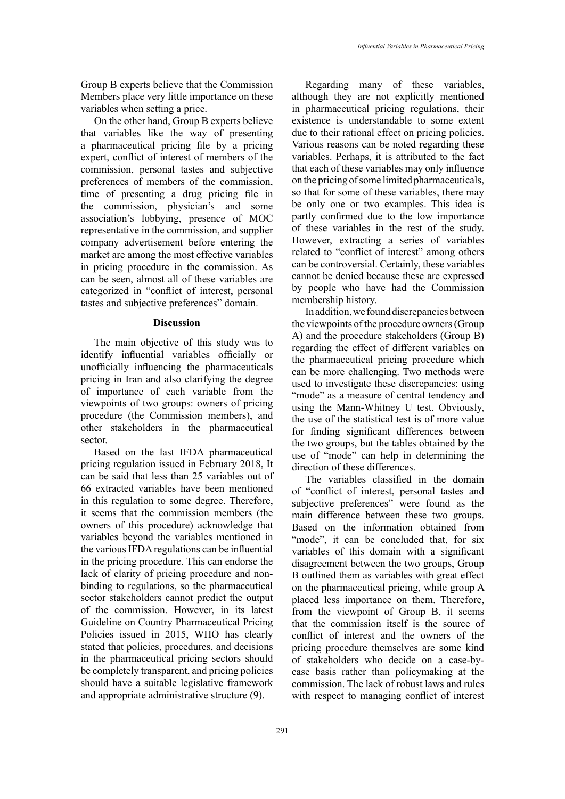Group B experts believe that the Commission Members place very little importance on these variables when setting a price.

On the other hand, Group B experts believe that variables like the way of presenting a pharmaceutical pricing file by a pricing expert, conflict of interest of members of the commission, personal tastes and subjective preferences of members of the commission, time of presenting a drug pricing file in the commission, physician's and some association's lobbying, presence of MOC representative in the commission, and supplier company advertisement before entering the market are among the most effective variables in pricing procedure in the commission. As can be seen, almost all of these variables are categorized in "conflict of interest, personal tastes and subjective preferences" domain.

### **Discussion**

The main objective of this study was to identify influential variables officially or unofficially influencing the pharmaceuticals pricing in Iran and also clarifying the degree of importance of each variable from the viewpoints of two groups: owners of pricing procedure (the Commission members), and other stakeholders in the pharmaceutical sector.

Based on the last IFDA pharmaceutical pricing regulation issued in February 2018, It can be said that less than 25 variables out of 66 extracted variables have been mentioned in this regulation to some degree. Therefore, it seems that the commission members (the owners of this procedure) acknowledge that variables beyond the variables mentioned in the various IFDA regulations can be influential in the pricing procedure. This can endorse the lack of clarity of pricing procedure and nonbinding to regulations, so the pharmaceutical sector stakeholders cannot predict the output of the commission. However, in its latest Guideline on Country Pharmaceutical Pricing Policies issued in 2015, WHO has clearly stated that policies, procedures, and decisions in the pharmaceutical pricing sectors should be completely transparent, and pricing policies should have a suitable legislative framework and appropriate administrative structure (9).

Regarding many of these variables, although they are not explicitly mentioned in pharmaceutical pricing regulations, their existence is understandable to some extent due to their rational effect on pricing policies. Various reasons can be noted regarding these variables. Perhaps, it is attributed to the fact that each of these variables may only influence on the pricing of some limited pharmaceuticals, so that for some of these variables, there may be only one or two examples. This idea is partly confirmed due to the low importance of these variables in the rest of the study. However, extracting a series of variables related to "conflict of interest" among others can be controversial. Certainly, these variables cannot be denied because these are expressed by people who have had the Commission membership history.

In addition, we found discrepancies between the viewpoints of the procedure owners (Group A) and the procedure stakeholders (Group B) regarding the effect of different variables on the pharmaceutical pricing procedure which can be more challenging. Two methods were used to investigate these discrepancies: using "mode" as a measure of central tendency and using the Mann-Whitney U test. Obviously, the use of the statistical test is of more value for finding significant differences between the two groups, but the tables obtained by the use of "mode" can help in determining the direction of these differences.

The variables classified in the domain of "conflict of interest, personal tastes and subjective preferences" were found as the main difference between these two groups. Based on the information obtained from "mode", it can be concluded that, for six variables of this domain with a significant disagreement between the two groups, Group B outlined them as variables with great effect on the pharmaceutical pricing, while group A placed less importance on them. Therefore, from the viewpoint of Group B, it seems that the commission itself is the source of conflict of interest and the owners of the pricing procedure themselves are some kind of stakeholders who decide on a case-bycase basis rather than policymaking at the commission. The lack of robust laws and rules with respect to managing conflict of interest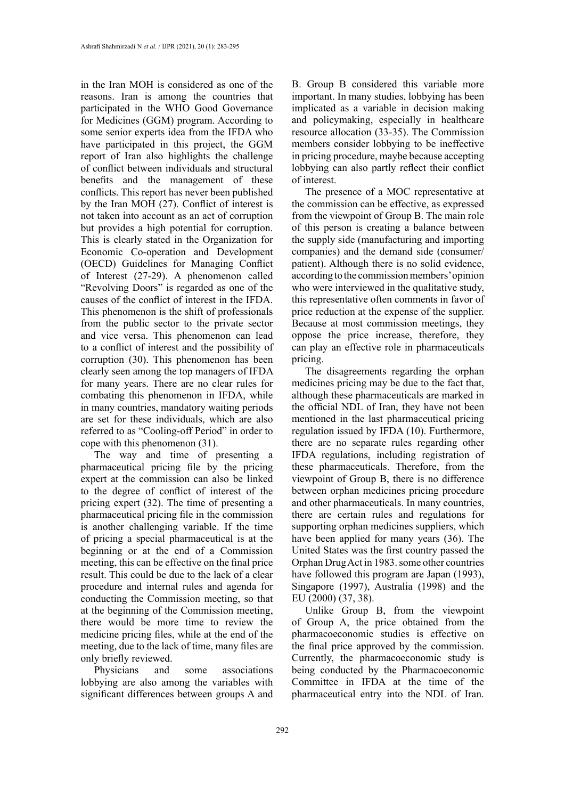in the Iran MOH is considered as one of the reasons. Iran is among the countries that participated in the WHO Good Governance for Medicines (GGM) program. According to some senior experts idea from the IFDA who have participated in this project, the GGM report of Iran also highlights the challenge of conflict between individuals and structural benefits and the management of these conflicts. This report has never been published by the Iran MOH (27). Conflict of interest is not taken into account as an act of corruption but provides a high potential for corruption. This is clearly stated in the Organization for Economic Co-operation and Development (OECD) Guidelines for Managing Conflict of Interest (27-29). A phenomenon called "Revolving Doors" is regarded as one of the causes of the conflict of interest in the IFDA. This phenomenon is the shift of professionals from the public sector to the private sector and vice versa. This phenomenon can lead to a conflict of interest and the possibility of corruption (30). This phenomenon has been clearly seen among the top managers of IFDA for many years. There are no clear rules for combating this phenomenon in IFDA, while in many countries, mandatory waiting periods are set for these individuals, which are also referred to as "Cooling-off Period" in order to cope with this phenomenon (31).

The way and time of presenting a pharmaceutical pricing file by the pricing expert at the commission can also be linked to the degree of conflict of interest of the pricing expert (32). The time of presenting a pharmaceutical pricing file in the commission is another challenging variable. If the time of pricing a special pharmaceutical is at the beginning or at the end of a Commission meeting, this can be effective on the final price result. This could be due to the lack of a clear procedure and internal rules and agenda for conducting the Commission meeting, so that at the beginning of the Commission meeting, there would be more time to review the medicine pricing files, while at the end of the meeting, due to the lack of time, many files are only briefly reviewed.

Physicians and some associations lobbying are also among the variables with significant differences between groups A and B. Group B considered this variable more important. In many studies, lobbying has been implicated as a variable in decision making and policymaking, especially in healthcare resource allocation (33-35). The Commission members consider lobbying to be ineffective in pricing procedure, maybe because accepting lobbying can also partly reflect their conflict of interest.

The presence of a MOC representative at the commission can be effective, as expressed from the viewpoint of Group B. The main role of this person is creating a balance between the supply side (manufacturing and importing companies) and the demand side (consumer/ patient). Although there is no solid evidence, according to the commission members' opinion who were interviewed in the qualitative study, this representative often comments in favor of price reduction at the expense of the supplier. Because at most commission meetings, they oppose the price increase, therefore, they can play an effective role in pharmaceuticals pricing.

The disagreements regarding the orphan medicines pricing may be due to the fact that, although these pharmaceuticals are marked in the official NDL of Iran, they have not been mentioned in the last pharmaceutical pricing regulation issued by IFDA (10). Furthermore, there are no separate rules regarding other IFDA regulations, including registration of these pharmaceuticals. Therefore, from the viewpoint of Group B, there is no difference between orphan medicines pricing procedure and other pharmaceuticals. In many countries, there are certain rules and regulations for supporting orphan medicines suppliers, which have been applied for many years (36). The United States was the first country passed the Orphan Drug Act in 1983. some other countries have followed this program are Japan (1993), Singapore (1997), Australia (1998) and the EU (2000) (37, 38).

Unlike Group B, from the viewpoint of Group A, the price obtained from the pharmacoeconomic studies is effective on the final price approved by the commission. Currently, the pharmacoeconomic study is being conducted by the Pharmacoeconomic Committee in IFDA at the time of the pharmaceutical entry into the NDL of Iran.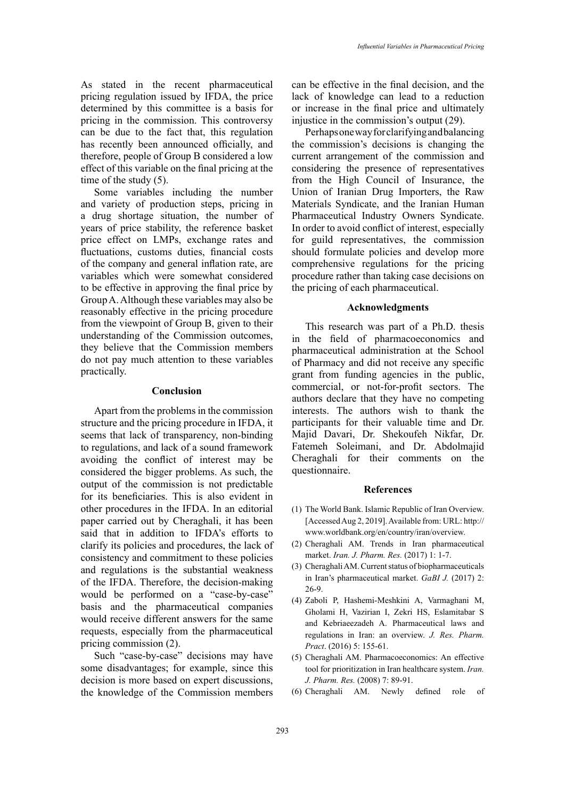As stated in the recent pharmaceutical pricing regulation issued by IFDA, the price determined by this committee is a basis for pricing in the commission. This controversy can be due to the fact that, this regulation has recently been announced officially, and therefore, people of Group B considered a low effect of this variable on the final pricing at the time of the study (5).

Some variables including the number and variety of production steps, pricing in a drug shortage situation, the number of years of price stability, the reference basket price effect on LMPs, exchange rates and fluctuations, customs duties, financial costs of the company and general inflation rate, are variables which were somewhat considered to be effective in approving the final price by Group A. Although these variables may also be reasonably effective in the pricing procedure from the viewpoint of Group B, given to their understanding of the Commission outcomes, they believe that the Commission members do not pay much attention to these variables practically.

#### **Conclusion**

Apart from the problems in the commission structure and the pricing procedure in IFDA, it seems that lack of transparency, non-binding to regulations, and lack of a sound framework avoiding the conflict of interest may be considered the bigger problems. As such, the output of the commission is not predictable for its beneficiaries. This is also evident in other procedures in the IFDA. In an editorial paper carried out by Cheraghali, it has been said that in addition to IFDA's efforts to clarify its policies and procedures, the lack of consistency and commitment to these policies and regulations is the substantial weakness of the IFDA. Therefore, the decision-making would be performed on a "case-by-case" basis and the pharmaceutical companies would receive different answers for the same requests, especially from the pharmaceutical pricing commission (2).

Such "case-by-case" decisions may have some disadvantages; for example, since this decision is more based on expert discussions, the knowledge of the Commission members

can be effective in the final decision, and the lack of knowledge can lead to a reduction or increase in the final price and ultimately injustice in the commission's output (29).

Perhaps one way for clarifying and balancing the commission's decisions is changing the current arrangement of the commission and considering the presence of representatives from the High Council of Insurance, the Union of Iranian Drug Importers, the Raw Materials Syndicate, and the Iranian Human Pharmaceutical Industry Owners Syndicate. In order to avoid conflict of interest, especially for guild representatives, the commission should formulate policies and develop more comprehensive regulations for the pricing procedure rather than taking case decisions on the pricing of each pharmaceutical.

## **Acknowledgments**

This research was part of a Ph.D. thesis in the field of pharmacoeconomics and pharmaceutical administration at the School of Pharmacy and did not receive any specific grant from funding agencies in the public, commercial, or not-for-profit sectors. The authors declare that they have no competing interests. The authors wish to thank the participants for their valuable time and Dr. Majid Davari, Dr. Shekoufeh Nikfar, Dr. Fatemeh Soleimani, and Dr. Abdolmajid Cheraghali for their comments on the questionnaire.

#### **References**

- (1) The World Bank. Islamic Republic of Iran Overview. [Accessed Aug 2, 2019]. Available from: URL: http:// www.worldbank.org/en/country/iran/overview.
- (2) Cheraghali AM. Trends in Iran pharmaceutical market. *Iran. J. Pharm. Res.* (2017) 1: 1-7.
- (3) Cheraghali AM. Current status of biopharmaceuticals in Iran's pharmaceutical market. *GaBI J.* (2017) 2: 26-9.
- (4) Zaboli P, Hashemi-Meshkini A, Varmaghani M, Gholami H, Vazirian I, Zekri HS, Eslamitabar S and Kebriaeezadeh A. Pharmaceutical laws and regulations in Iran: an overview. *J. Res. Pharm. Pract*. (2016) 5: 155-61.
- (5) Cheraghali AM. Pharmacoeconomics: An effective tool for prioritization in Iran healthcare system. *Iran. J. Pharm. Res.* (2008) 7: 89-91.
- (6) Cheraghali AM. Newly defined role of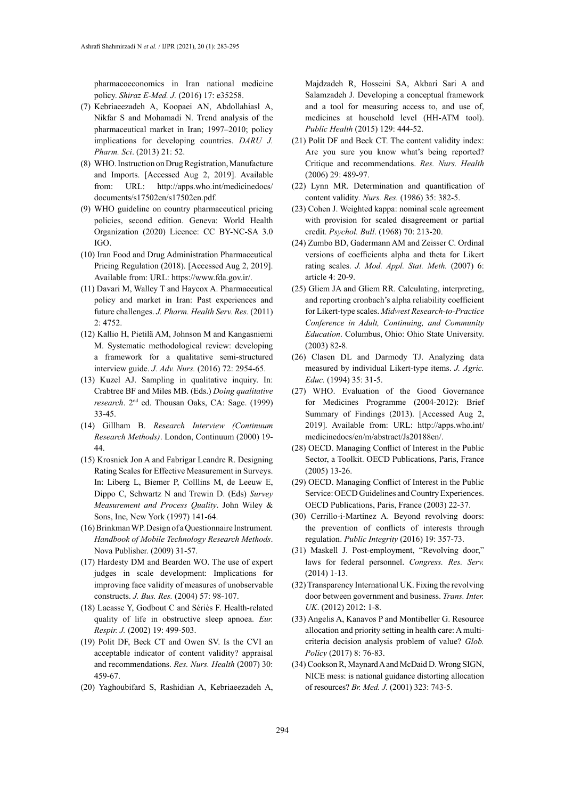pharmacoeconomics in Iran national medicine policy. *Shiraz E-Med. J.* (2016) 17: e35258.

- (7) Kebriaeezadeh A, Koopaei AN, Abdollahiasl A, Nikfar S and Mohamadi N. Trend analysis of the pharmaceutical market in Iran; 1997–2010; policy implications for developing countries. *DARU J. Pharm. Sci*. (2013) 21: 52.
- (8) WHO. Instruction on Drug Registration, Manufacture and Imports. [Accessed Aug 2, 2019]. Available from: URL: http://apps.who.int/medicinedocs/ documents/s17502en/s17502en.pdf.
- (9) WHO guideline on country pharmaceutical pricing policies, second edition. Geneva: World Health Organization (2020) Licence: CC BY-NC-SA 3.0 IGO.
- (10) Iran Food and Drug Administration Pharmaceutical Pricing Regulation (2018). [Accessed Aug 2, 2019]. Available from: URL: https://www.fda.gov.ir/.
- (11) Davari M, Walley T and Haycox A. Pharmaceutical policy and market in Iran: Past experiences and future challenges. *J. Pharm. Health Serv. Res.* (2011) 2: 4752.
- (12) Kallio H, Pietilä AM, Johnson M and Kangasniemi M. Systematic methodological review: developing a framework for a qualitative semi-structured interview guide. *J. Adv. Nurs.* (2016) 72: 2954-65.
- (13) Kuzel AJ. Sampling in qualitative inquiry. In: Crabtree BF and Miles MB. (Eds.) *Doing qualitative research*. 2nd ed. Thousan Oaks, CA: Sage. (1999) 33-45.
- (14) Gillham B. *Research Interview (Continuum Research Methods)*. London, Continuum (2000) 19- 44.
- (15) Krosnick Jon A and Fabrigar Leandre R. Designing Rating Scales for Effective Measurement in Surveys. In: Liberg L, Biemer P, Colllins M, de Leeuw E, Dippo C, Schwartz N and Trewin D. (Eds) *Survey Measurement and Process Quality*. John Wiley & Sons, Inc, New York (1997) 141-64.
- (16) Brinkman WP. Design of a Questionnaire Instrument*. Handbook of Mobile Technology Research Methods*. Nova Publisher. (2009) 31-57.
- (17) Hardesty DM and Bearden WO. The use of expert judges in scale development: Implications for improving face validity of measures of unobservable constructs. *J. Bus. Res.* (2004) 57: 98-107.
- (18) Lacasse Y, Godbout C and Sériès F. Health-related quality of life in obstructive sleep apnoea. *Eur. Respir. J.* (2002) 19: 499-503.
- (19) Polit DF, Beck CT and Owen SV. Is the CVI an acceptable indicator of content validity? appraisal and recommendations. *Res. Nurs. Health* (2007) 30: 459-67.
- (20) Yaghoubifard S, Rashidian A, Kebriaeezadeh A,

Majdzadeh R, Hosseini SA, Akbari Sari A and Salamzadeh J. Developing a conceptual framework and a tool for measuring access to, and use of, medicines at household level (HH-ATM tool). *Public Health* (2015) 129: 444-52.

- (21) Polit DF and Beck CT. The content validity index: Are you sure you know what's being reported? Critique and recommendations. *Res. Nurs. Health* (2006) 29: 489-97.
- (22) Lynn MR. Determination and quantification of content validity*. Nurs. Res.* (1986) 35: 382-5.
- (23) Cohen J. Weighted kappa: nominal scale agreement with provision for scaled disagreement or partial credit. *Psychol. Bull*. (1968) 70: 213-20.
- (24) Zumbo BD, Gadermann AM and Zeisser C. Ordinal versions of coefficients alpha and theta for Likert rating scales. *J. Mod. Appl. Stat. Meth.* (2007) 6: article 4: 20-9.
- (25) Gliem JA and Gliem RR. Calculating, interpreting, and reporting cronbach's alpha reliability coefficient for Likert-type scales. *Midwest Research-to-Practice Conference in Adult, Continuing, and Community Education*. Columbus, Ohio: Ohio State University. (2003) 82-8.
- (26) Clasen DL and Darmody TJ. Analyzing data measured by individual Likert-type items. *J. Agric. Educ.* (1994) 35: 31-5.
- (27) WHO. Evaluation of the Good Governance for Medicines Programme (2004-2012): Brief Summary of Findings (2013). [Accessed Aug 2, 2019]. Available from: URL: http://apps.who.int/ medicinedocs/en/m/abstract/Js20188en/.
- (28) OECD. Managing Conflict of Interest in the Public Sector, a Toolkit. OECD Publications, Paris, France (2005) 13-26.
- (29) OECD. Managing Conflict of Interest in the Public Service: OECD Guidelines and Country Experiences. OECD Publications, Paris, France (2003) 22-37.
- (30) Cerrillo-i-Martínez A. Beyond revolving doors: the prevention of conflicts of interests through regulation. *Public Integrity* (2016) 19: 357-73.
- (31) Maskell J. Post-employment, "Revolving door," laws for federal personnel. *Congress. Res. Serv.* (2014) 1-13.
- (32) Transparency International UK. Fixing the revolving door between government and business. *Trans. Inter. UK*. (2012) 2012: 1-8.
- (33) Angelis A, Kanavos P and Montibeller G. Resource allocation and priority setting in health care: A multicriteria decision analysis problem of value? *Glob. Policy* (2017) 8: 76-83.
- (34) Cookson R, Maynard A and McDaid D. Wrong SIGN, NICE mess: is national guidance distorting allocation of resources? *Br. Med. J.* (2001) 323: 743-5.